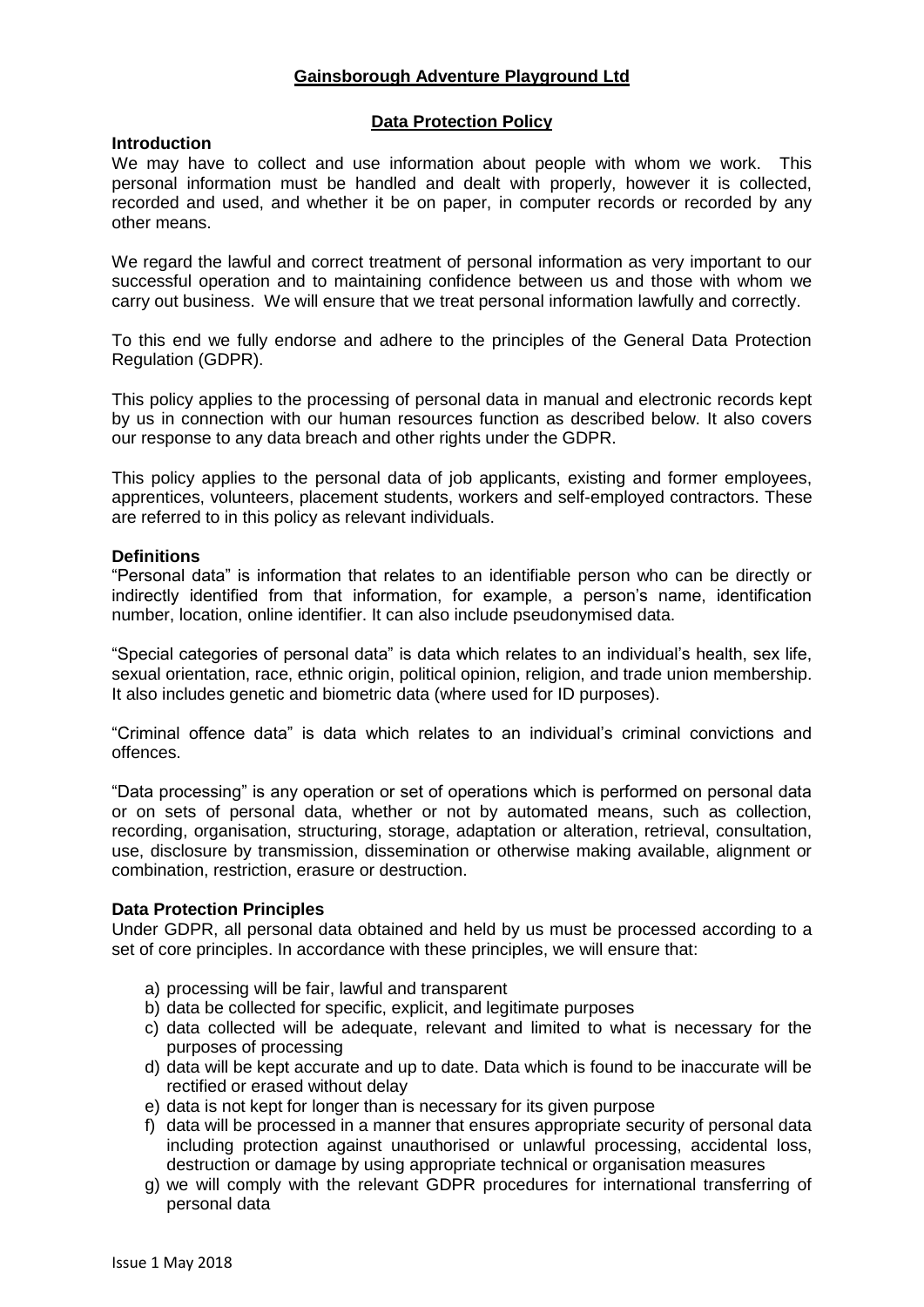## **Gainsborough Adventure Playground Ltd**

## **Data Protection Policy**

## **Introduction**

We may have to collect and use information about people with whom we work. This personal information must be handled and dealt with properly, however it is collected, recorded and used, and whether it be on paper, in computer records or recorded by any other means.

We regard the lawful and correct treatment of personal information as very important to our successful operation and to maintaining confidence between us and those with whom we carry out business. We will ensure that we treat personal information lawfully and correctly.

To this end we fully endorse and adhere to the principles of the General Data Protection Regulation (GDPR).

This policy applies to the processing of personal data in manual and electronic records kept by us in connection with our human resources function as described below. It also covers our response to any data breach and other rights under the GDPR.

This policy applies to the personal data of job applicants, existing and former employees, apprentices, volunteers, placement students, workers and self-employed contractors. These are referred to in this policy as relevant individuals.

## **Definitions**

"Personal data" is information that relates to an identifiable person who can be directly or indirectly identified from that information, for example, a person's name, identification number, location, online identifier. It can also include pseudonymised data.

"Special categories of personal data" is data which relates to an individual's health, sex life, sexual orientation, race, ethnic origin, political opinion, religion, and trade union membership. It also includes genetic and biometric data (where used for ID purposes).

"Criminal offence data" is data which relates to an individual's criminal convictions and offences.

"Data processing" is any operation or set of operations which is performed on personal data or on sets of personal data, whether or not by automated means, such as collection, recording, organisation, structuring, storage, adaptation or alteration, retrieval, consultation, use, disclosure by transmission, dissemination or otherwise making available, alignment or combination, restriction, erasure or destruction.

### **Data Protection Principles**

Under GDPR, all personal data obtained and held by us must be processed according to a set of core principles. In accordance with these principles, we will ensure that:

- a) processing will be fair, lawful and transparent
- b) data be collected for specific, explicit, and legitimate purposes
- c) data collected will be adequate, relevant and limited to what is necessary for the purposes of processing
- d) data will be kept accurate and up to date. Data which is found to be inaccurate will be rectified or erased without delay
- e) data is not kept for longer than is necessary for its given purpose
- f) data will be processed in a manner that ensures appropriate security of personal data including protection against unauthorised or unlawful processing, accidental loss, destruction or damage by using appropriate technical or organisation measures
- g) we will comply with the relevant GDPR procedures for international transferring of personal data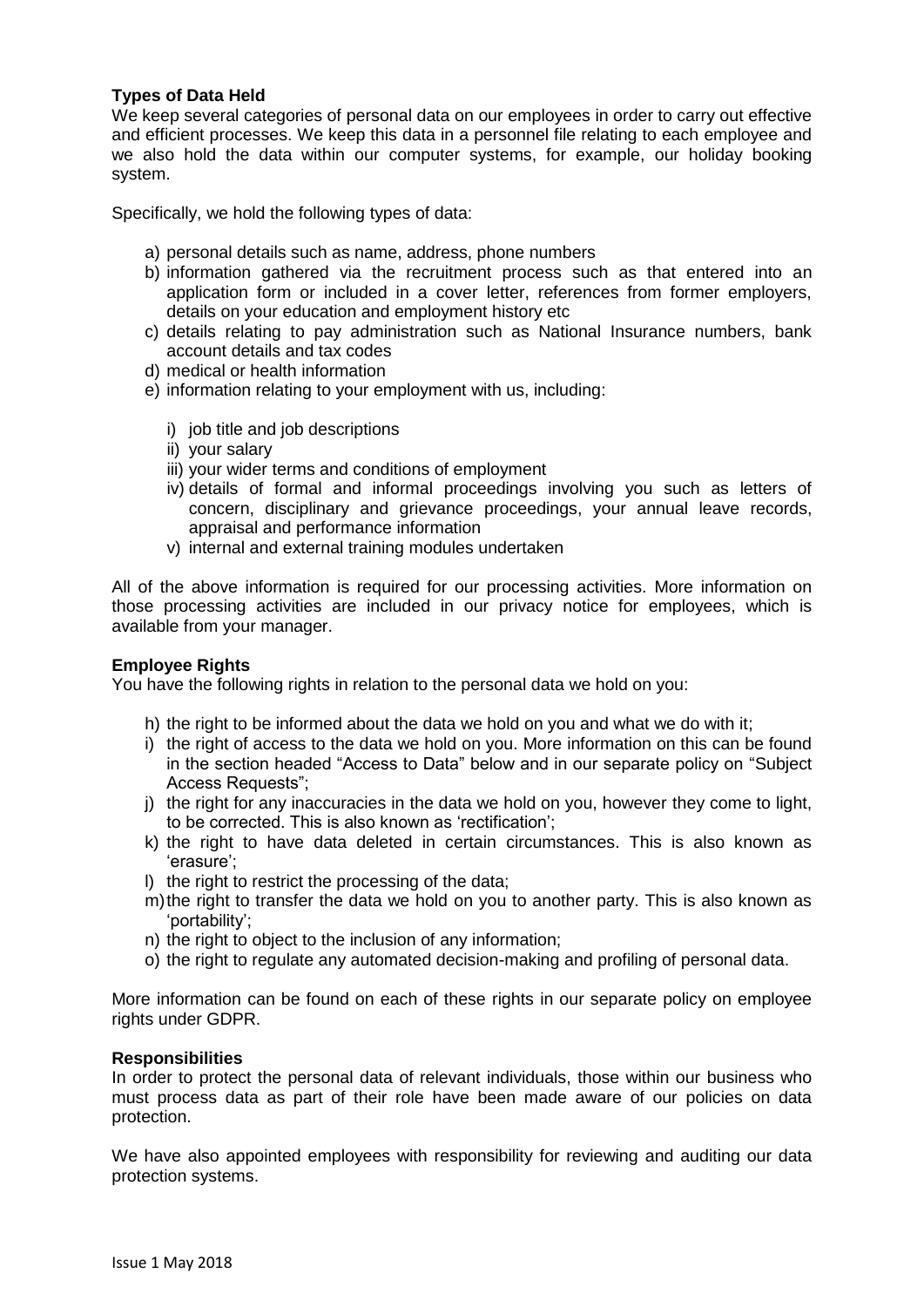## **Types of Data Held**

We keep several categories of personal data on our employees in order to carry out effective and efficient processes. We keep this data in a personnel file relating to each employee and we also hold the data within our computer systems, for example, our holiday booking system.

Specifically, we hold the following types of data:

- a) personal details such as name, address, phone numbers
- b) information gathered via the recruitment process such as that entered into an application form or included in a cover letter, references from former employers, details on your education and employment history etc
- c) details relating to pay administration such as National Insurance numbers, bank account details and tax codes
- d) medical or health information
- e) information relating to your employment with us, including:
	- i) job title and job descriptions
	- ii) your salary
	- iii) your wider terms and conditions of employment
	- iv) details of formal and informal proceedings involving you such as letters of concern, disciplinary and grievance proceedings, your annual leave records, appraisal and performance information
	- v) internal and external training modules undertaken

All of the above information is required for our processing activities. More information on those processing activities are included in our privacy notice for employees, which is available from your manager.

### **Employee Rights**

You have the following rights in relation to the personal data we hold on you:

- h) the right to be informed about the data we hold on you and what we do with it;
- i) the right of access to the data we hold on you. More information on this can be found in the section headed "Access to Data" below and in our separate policy on "Subject Access Requests";
- j) the right for any inaccuracies in the data we hold on you, however they come to light, to be corrected. This is also known as 'rectification';
- k) the right to have data deleted in certain circumstances. This is also known as 'erasure';
- l) the right to restrict the processing of the data;
- m)the right to transfer the data we hold on you to another party. This is also known as 'portability';
- n) the right to object to the inclusion of any information;
- o) the right to regulate any automated decision-making and profiling of personal data.

More information can be found on each of these rights in our separate policy on employee rights under GDPR.

### **Responsibilities**

In order to protect the personal data of relevant individuals, those within our business who must process data as part of their role have been made aware of our policies on data protection.

We have also appointed employees with responsibility for reviewing and auditing our data protection systems.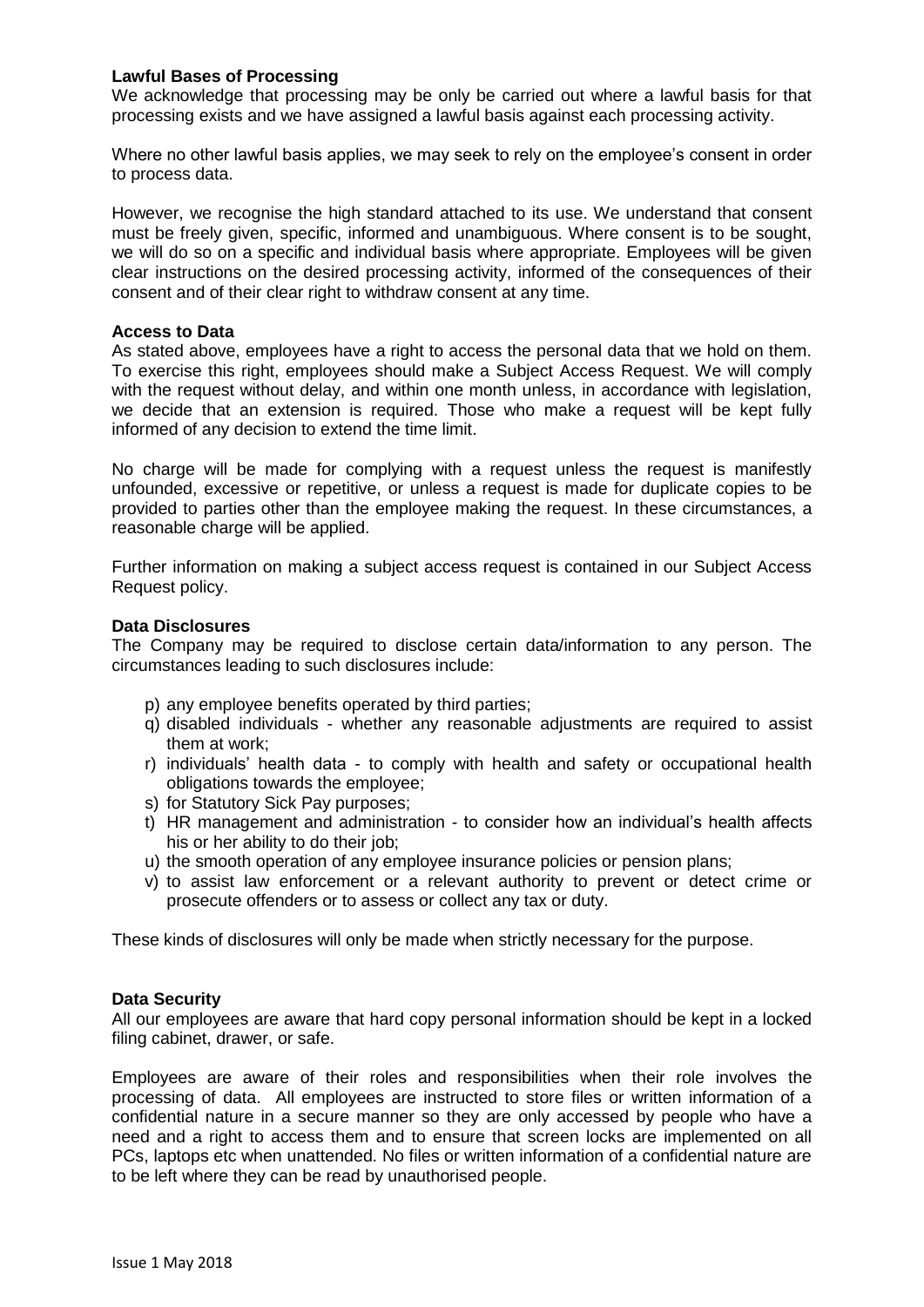## **Lawful Bases of Processing**

We acknowledge that processing may be only be carried out where a lawful basis for that processing exists and we have assigned a lawful basis against each processing activity.

Where no other lawful basis applies, we may seek to rely on the employee's consent in order to process data.

However, we recognise the high standard attached to its use. We understand that consent must be freely given, specific, informed and unambiguous. Where consent is to be sought, we will do so on a specific and individual basis where appropriate. Employees will be given clear instructions on the desired processing activity, informed of the consequences of their consent and of their clear right to withdraw consent at any time.

#### **Access to Data**

As stated above, employees have a right to access the personal data that we hold on them. To exercise this right, employees should make a Subject Access Request. We will comply with the request without delay, and within one month unless, in accordance with legislation, we decide that an extension is required. Those who make a request will be kept fully informed of any decision to extend the time limit.

No charge will be made for complying with a request unless the request is manifestly unfounded, excessive or repetitive, or unless a request is made for duplicate copies to be provided to parties other than the employee making the request. In these circumstances, a reasonable charge will be applied.

Further information on making a subject access request is contained in our Subject Access Request policy.

### **Data Disclosures**

The Company may be required to disclose certain data/information to any person. The circumstances leading to such disclosures include:

- p) any employee benefits operated by third parties;
- q) disabled individuals whether any reasonable adjustments are required to assist them at work;
- r) individuals' health data to comply with health and safety or occupational health obligations towards the employee;
- s) for Statutory Sick Pay purposes;
- t) HR management and administration to consider how an individual's health affects his or her ability to do their job;
- u) the smooth operation of any employee insurance policies or pension plans;
- v) to assist law enforcement or a relevant authority to prevent or detect crime or prosecute offenders or to assess or collect any tax or duty.

These kinds of disclosures will only be made when strictly necessary for the purpose.

### **Data Security**

All our employees are aware that hard copy personal information should be kept in a locked filing cabinet, drawer, or safe.

Employees are aware of their roles and responsibilities when their role involves the processing of data. All employees are instructed to store files or written information of a confidential nature in a secure manner so they are only accessed by people who have a need and a right to access them and to ensure that screen locks are implemented on all PCs, laptops etc when unattended. No files or written information of a confidential nature are to be left where they can be read by unauthorised people.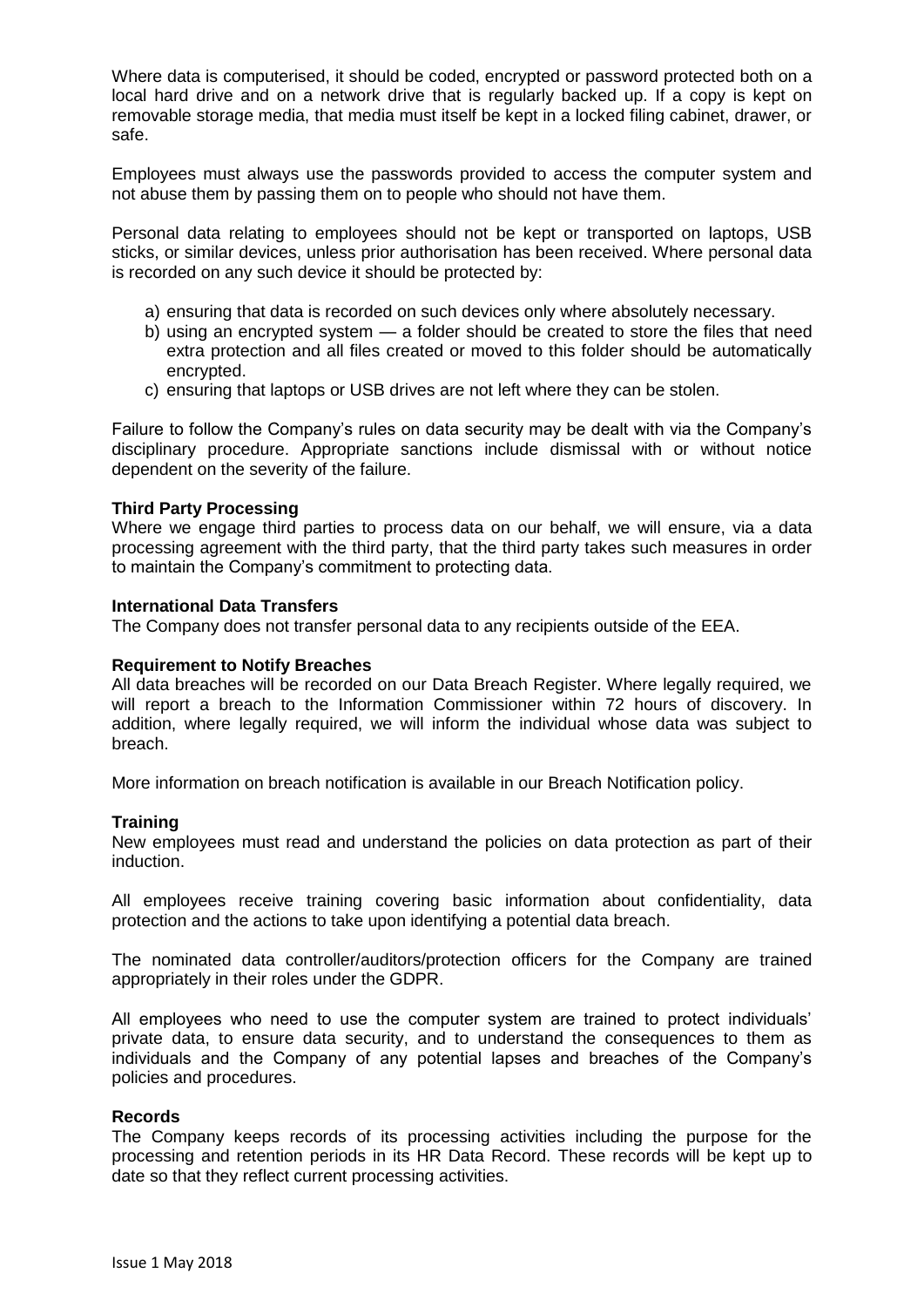Where data is computerised, it should be coded, encrypted or password protected both on a local hard drive and on a network drive that is regularly backed up. If a copy is kept on removable storage media, that media must itself be kept in a locked filing cabinet, drawer, or safe.

Employees must always use the passwords provided to access the computer system and not abuse them by passing them on to people who should not have them.

Personal data relating to employees should not be kept or transported on laptops, USB sticks, or similar devices, unless prior authorisation has been received. Where personal data is recorded on any such device it should be protected by:

- a) ensuring that data is recorded on such devices only where absolutely necessary.
- b) using an encrypted system a folder should be created to store the files that need extra protection and all files created or moved to this folder should be automatically encrypted.
- c) ensuring that laptops or USB drives are not left where they can be stolen.

Failure to follow the Company's rules on data security may be dealt with via the Company's disciplinary procedure. Appropriate sanctions include dismissal with or without notice dependent on the severity of the failure.

## **Third Party Processing**

Where we engage third parties to process data on our behalf, we will ensure, via a data processing agreement with the third party, that the third party takes such measures in order to maintain the Company's commitment to protecting data.

## **International Data Transfers**

The Company does not transfer personal data to any recipients outside of the EEA.

### **Requirement to Notify Breaches**

All data breaches will be recorded on our Data Breach Register. Where legally required, we will report a breach to the Information Commissioner within 72 hours of discovery. In addition, where legally required, we will inform the individual whose data was subject to breach.

More information on breach notification is available in our Breach Notification policy.

### **Training**

New employees must read and understand the policies on data protection as part of their induction.

All employees receive training covering basic information about confidentiality, data protection and the actions to take upon identifying a potential data breach.

The nominated data controller/auditors/protection officers for the Company are trained appropriately in their roles under the GDPR.

All employees who need to use the computer system are trained to protect individuals' private data, to ensure data security, and to understand the consequences to them as individuals and the Company of any potential lapses and breaches of the Company's policies and procedures.

### **Records**

The Company keeps records of its processing activities including the purpose for the processing and retention periods in its HR Data Record. These records will be kept up to date so that they reflect current processing activities.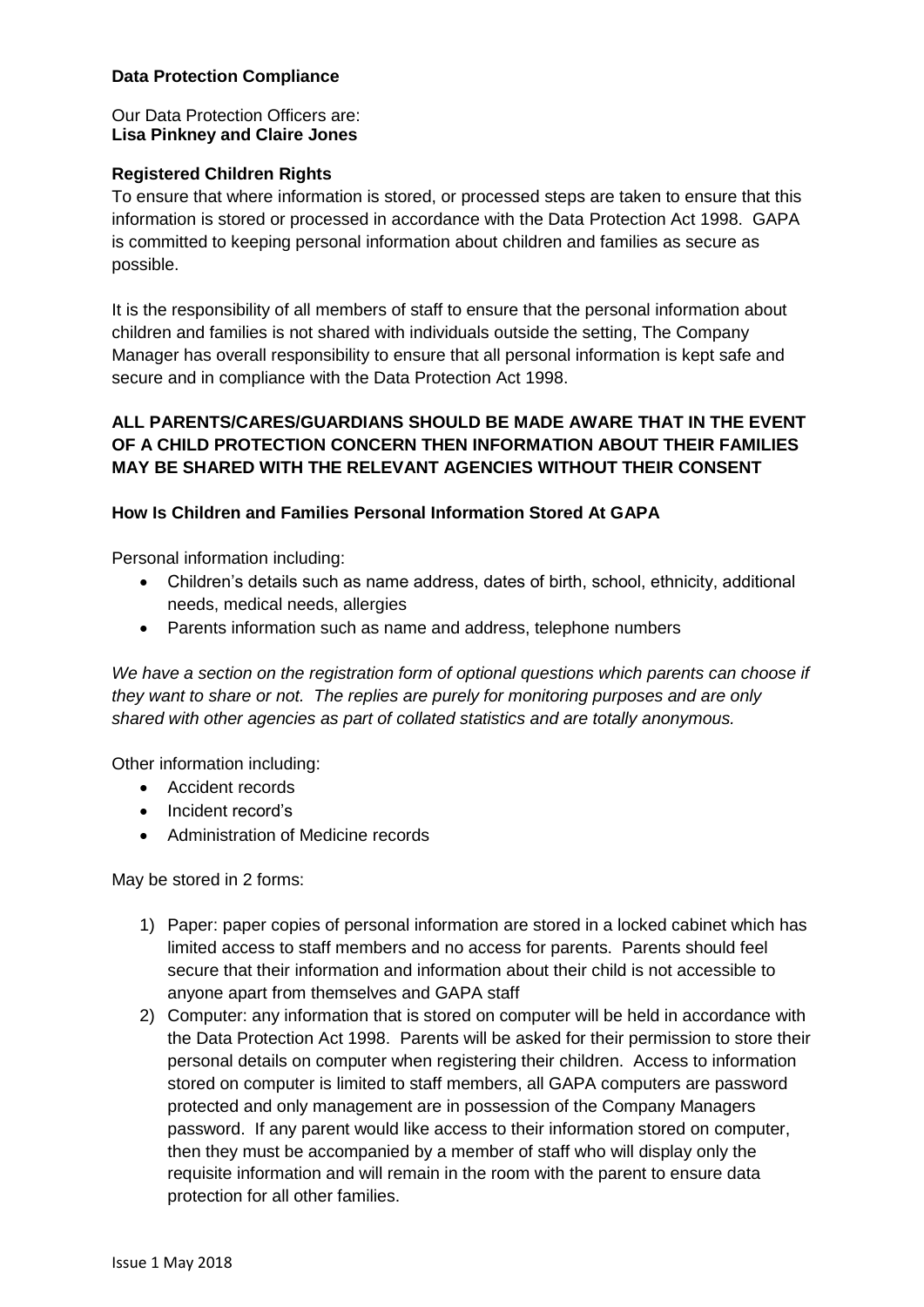# **Data Protection Compliance**

## Our Data Protection Officers are: **Lisa Pinkney and Claire Jones**

# **Registered Children Rights**

To ensure that where information is stored, or processed steps are taken to ensure that this information is stored or processed in accordance with the Data Protection Act 1998. GAPA is committed to keeping personal information about children and families as secure as possible.

It is the responsibility of all members of staff to ensure that the personal information about children and families is not shared with individuals outside the setting, The Company Manager has overall responsibility to ensure that all personal information is kept safe and secure and in compliance with the Data Protection Act 1998.

# **ALL PARENTS/CARES/GUARDIANS SHOULD BE MADE AWARE THAT IN THE EVENT OF A CHILD PROTECTION CONCERN THEN INFORMATION ABOUT THEIR FAMILIES MAY BE SHARED WITH THE RELEVANT AGENCIES WITHOUT THEIR CONSENT**

## **How Is Children and Families Personal Information Stored At GAPA**

Personal information including:

- Children's details such as name address, dates of birth, school, ethnicity, additional needs, medical needs, allergies
- Parents information such as name and address, telephone numbers

*We have a section on the registration form of optional questions which parents can choose if they want to share or not. The replies are purely for monitoring purposes and are only shared with other agencies as part of collated statistics and are totally anonymous.*

Other information including:

- Accident records
- Incident record's
- Administration of Medicine records

May be stored in 2 forms:

- 1) Paper: paper copies of personal information are stored in a locked cabinet which has limited access to staff members and no access for parents. Parents should feel secure that their information and information about their child is not accessible to anyone apart from themselves and GAPA staff
- 2) Computer: any information that is stored on computer will be held in accordance with the Data Protection Act 1998. Parents will be asked for their permission to store their personal details on computer when registering their children. Access to information stored on computer is limited to staff members, all GAPA computers are password protected and only management are in possession of the Company Managers password. If any parent would like access to their information stored on computer, then they must be accompanied by a member of staff who will display only the requisite information and will remain in the room with the parent to ensure data protection for all other families.